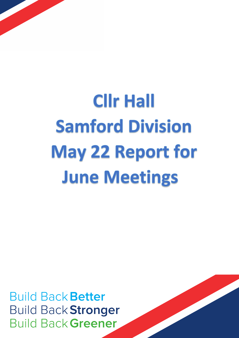

# **Clir Hall Samford Division May 22 Report for June Meetings**

**Build Back Better Build Back Stronger Build Back Greener** 

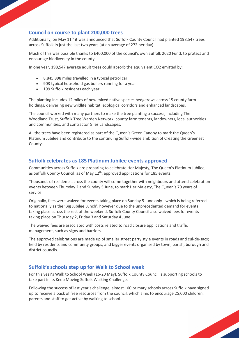## **Council on course to plant 200,000 trees**

Additionally, on May  $11<sup>th</sup>$  it was announced that Suffolk County Council had planted 198,547 trees across Suffolk in just the last two years (at an average of 272 per day).

Much of this was possible thanks to £400,000 of the council's own Suffolk 2020 Fund, to protect and encourage biodiversity in the county.

In one year, 198,547 average adult trees could absorb the equivalent CO2 emitted by:

- 8,845,898 miles travelled in a typical petrol car
- 903 typical household gas boilers running for a year
- 199 Suffolk residents each year.

The planting includes 12 miles of new mixed native species hedgerows across 15 county farm holdings, delivering new wildlife habitat, ecological corridors and enhanced landscapes.

The council worked with many partners to make the tree planting a success, including The Woodland Trust, Suffolk Tree Warden Network, county farm tenants, landowners, local authorities and communities, and contractor Giles Landscapes.

All the trees have been registered as part of the Queen's Green Canopy to mark the Queen's Platinum Jubilee and contribute to the continuing Suffolk-wide ambition of Creating the Greenest County.

#### **Suffolk celebrates as 185 Platinum Jubilee events approved**

Communities across Suffolk are preparing to celebrate Her Majesty, The Queen's Platinum Jubilee, as Suffolk County Council, as of May  $12^{\text{th}}$ , approved applications for 185 events.

Thousands of residents across the county will come together with neighbours and attend celebration events between Thursday 2 and Sunday 5 June, to mark Her Majesty, The Queen's 70 years of service.

Originally, fees were waived for events taking place on Sunday 5 June only - which is being referred to nationally as the 'Big Jubilee Lunch', however due to the unprecedented demand for events taking place across the rest of the weekend, Suffolk County Council also waived fees for events taking place on Thursday 2, Friday 3 and Saturday 4 June.

The waived fees are associated with costs related to road closure applications and traffic management, such as signs and barriers.

The approved celebrations are made up of smaller street party style events in roads and cul-de-sacs; held by residents and community groups, and bigger events organised by town, parish, borough and district councils.

#### **Suffolk's schools step up for Walk to School week**

For this year's Walk to School Week (16-20 May), Suffolk County Council is supporting schools to take part in its Keep Moving Suffolk Walking Challenge.

Following the success of last year's challenge, almost 100 primary schools across Suffolk have signed up to receive a pack of free resources from the council, which aims to encourage 25,000 children, parents and staff to get active by walking to school.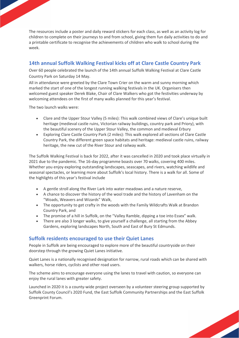The resources include a poster and daily reward stickers for each class, as well as an activity log for children to complete on their journeys to and from school, giving them fun daily activities to do and a printable certificate to recognise the achievements of children who walk to school during the week.

# **14th annual Suffolk Walking Festival kicks off at Clare Castle Country Park**

Over 60 people celebrated the launch of the 14th annual Suffolk Walking Festival at Clare Castle Country Park on Saturday 14 May.

All in attendance were greeted by the Clare Town Crier on the warm and sunny morning which marked the start of one of the longest running walking festivals in the UK. Organisers then welcomed guest speaker Derek Blake, Chair of Clare Walkers who got the festivities underway by welcoming attendees on the first of many walks planned for this year's festival.

The two launch walks were:

- Clare and the Upper Stour Valley (5 miles): This walk combined views of Clare's unique built heritage (medieval castle ruins, Victorian railway buildings, country park and Priory), with the beautiful scenery of the Upper Stour Valley, the common and medieval Erbury
- Exploring Clare Castle Country Park (2 miles): This walk explored all sections of Clare Castle Country Park, the different green space habitats and heritage: medieval castle ruins, railway heritage, the new cut of the River Stour and railway walk.

The Suffolk Walking Festival is back for 2022, after it was cancelled in 2020 and took place virtually in 2021 due to the pandemic. The 16-day programme boasts over 70 walks, covering 400 miles. Whether you enjoy exploring outstanding landscapes, seascapes, and rivers, watching wildlife and seasonal spectacles, or learning more about Suffolk's local history. There is a walk for all. Some of the highlights of this year's festival include

- A gentle stroll along the River Lark into water meadows and a nature reserve,
- A chance to discover the history of the wool trade and the history of Lavenham on the "Woads, Weavers and Wizards" Walk,
- The opportunity to get crafty in the woods with the Family Wildcrafts Walk at Brandon Country Park, and
- The promise of a hill in Suffolk, on the "Valley Ramble, dipping a toe into Essex" walk.
- There are also 3 longer walks, to give yourself a challenge, all starting from the Abbey Gardens, exploring landscapes North, South and East of Bury St Edmunds.

## **Suffolk residents encouraged to use their Quiet Lanes**

People in Suffolk are being encouraged to explore more of the beautiful countryside on their doorstep through the growing Quiet Lanes initiative.

Quiet Lanes is a nationally recognised designation for narrow, rural roads which can be shared with walkers, horse riders, cyclists and other road users.

The scheme aims to encourage everyone using the lanes to travel with caution, so everyone can enjoy the rural lanes with greater safety.

Launched in 2020 it is a county-wide project overseen by a volunteer steering group supported by Suffolk County Council's 2020 Fund, the East Suffolk Community Partnerships and the East Suffolk Greenprint Forum.